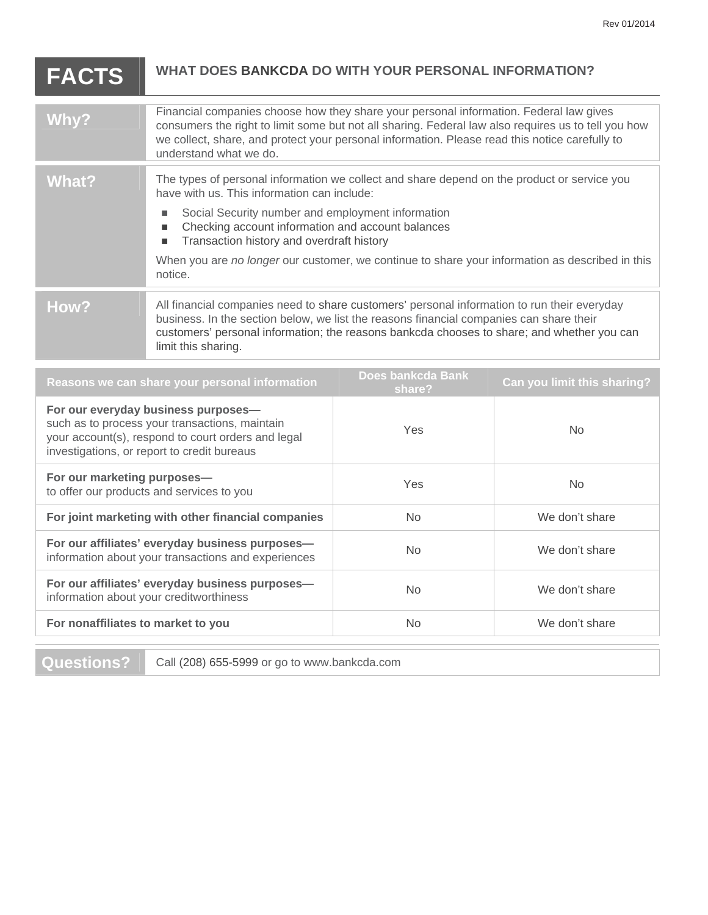| <b>FACTS</b>                                                                                                                                                                               | <b>WHAT DOES BANKCDA DO WITH YOUR PERSONAL INFORMATION?</b>                                                                                                                                                                                                                                                                                                                                                                    |                             |                             |
|--------------------------------------------------------------------------------------------------------------------------------------------------------------------------------------------|--------------------------------------------------------------------------------------------------------------------------------------------------------------------------------------------------------------------------------------------------------------------------------------------------------------------------------------------------------------------------------------------------------------------------------|-----------------------------|-----------------------------|
| Why?                                                                                                                                                                                       | Financial companies choose how they share your personal information. Federal law gives<br>consumers the right to limit some but not all sharing. Federal law also requires us to tell you how<br>we collect, share, and protect your personal information. Please read this notice carefully to<br>understand what we do.                                                                                                      |                             |                             |
| <b>What?</b>                                                                                                                                                                               | The types of personal information we collect and share depend on the product or service you<br>have with us. This information can include:<br>Social Security number and employment information<br>П<br>Checking account information and account balances<br>ш<br>Transaction history and overdraft history<br>п<br>When you are no longer our customer, we continue to share your information as described in this<br>notice. |                             |                             |
| How?                                                                                                                                                                                       | All financial companies need to share customers' personal information to run their everyday<br>business. In the section below, we list the reasons financial companies can share their<br>customers' personal information; the reasons bankcda chooses to share; and whether you can<br>limit this sharing.                                                                                                                    |                             |                             |
| Reasons we can share your personal information                                                                                                                                             |                                                                                                                                                                                                                                                                                                                                                                                                                                | Does bankcda Bank<br>share? | Can you limit this sharing? |
| For our everyday business purposes-<br>such as to process your transactions, maintain<br>your account(s), respond to court orders and legal<br>investigations, or report to credit bureaus |                                                                                                                                                                                                                                                                                                                                                                                                                                | Yes                         | <b>No</b>                   |
| For our marketing purposes-<br>to offer our products and services to you                                                                                                                   |                                                                                                                                                                                                                                                                                                                                                                                                                                | Yes                         | <b>No</b>                   |
| For joint marketing with other financial companies                                                                                                                                         |                                                                                                                                                                                                                                                                                                                                                                                                                                | <b>No</b>                   | We don't share              |
| For our affiliates' everyday business purposes-<br>information about your transactions and experiences                                                                                     |                                                                                                                                                                                                                                                                                                                                                                                                                                | <b>No</b>                   | We don't share              |
| For our affiliates' everyday business purposes-<br>information about your creditworthiness                                                                                                 |                                                                                                                                                                                                                                                                                                                                                                                                                                | <b>No</b>                   | We don't share              |
| For nonaffiliates to market to you                                                                                                                                                         |                                                                                                                                                                                                                                                                                                                                                                                                                                | <b>No</b>                   | We don't share              |

**Questions?** Call (208) 655-5999 or go to www.bankcda.com